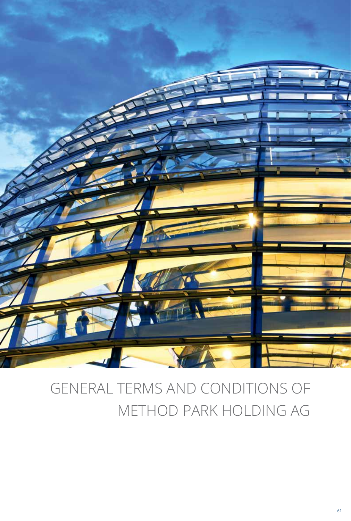

# GENERAL TERMS AND CONDITIONS OF METHOD PARK HOLDING AG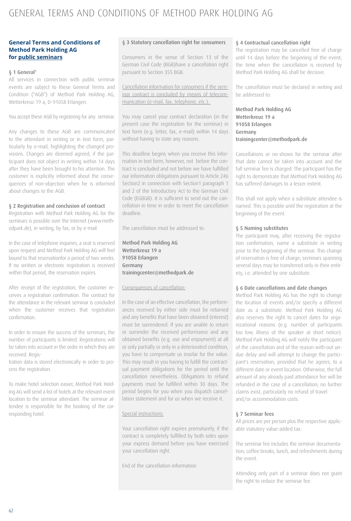# GENERAL TERMS AND CONDITIONS OF METHOD PARK HOLDING AG

# **General Terms and Conditions of Method Park Holding AG for public seminars**

#### § 1 General1

All services in connection with public seminar events are subject to these General Terms and Condition ("AGB") of Method Park Holding AG, Wetterkreuz 19 a, D-91058 Erlangen.

You accept these AGB by registering for any seminar.

Any changes to these AGB are communicated to the attendant in writing or in text form, particularly by e-mail, highlighting the changed provisions. Changes are deemed agreed, if the participant does not object in writing within 14 days after they have been brought to his attention. The customer is explicitly informed about the consequences of non-objection when he is informed about changes to the AGB.

#### § 2 Registration and conclusion of contract

Registration with Method Park Holding AG for the seminars is possible over the Internet (www.methodpark.de), in writing, by fax, or by e-mail.

In the case of telephone inquiries, a seat is reserved upon request and Method Park Holding AG will feel bound to that reservationfor a period of two weeks. If no written or electronic registration is received within that period, the reservation expires.

After receipt of the registration, the customer receives a registration confirmation. The contract for the attendance in the relevant seminar is concluded when the customer receives that registration confirmation.

In order to ensure the success of the seminars, the number of participants is limited. Registrations will be taken into account in the order in which they are received. Regis-

tration data is stored electronically in order to process the registration.

To make hotel selection easier, Method Park Holding AG will send a list of hotels at the relevant event location to the seminar attendant. The seminar attendee is responsible for the booking of the corresponding hotel.

#### § 3 Statutory cancellation right for consumers

Consumers in the sense of Section 13 of the German Civil Code (BGB)have a cancellation right pursuant to Section 355 BGB.

Cancellation information for consumers if the seminar contract is concluded by means of telecommunication (e-mail, fax, telephone, etc.).

You may cancel your contract declaration (in the present case the registration for the seminar) in text form (e.g. letter, fax, e-mail) within 14 days without having to state any reasons.

This deadline begins when you receive this information in text form, however, not before the contract is concluded and not before we have fulfilled our information obligations pursuant to Article 246 Section2 in connection with Section1 paragraph 1 and 2 of the Introductory Act to the German Civil Code (EGBGB). It is sufficient to send out the cancellation in time in order to meet the cancellation deadline.

The cancellation must be addressed to:

Method Park Holding AG Wetterkreuz 19 a 91058 Erlangen Germany trainingcenter@methodpark.de

# Consequences of cancellation:

In the case of an effective cancellation, the performances received by either side must be returned and any benefits that have been obtained (interest) must be surrendered. If you are unable to return or surrender the received performance and any obtained benefits (e.g. use and enjoyment) at all or only partially or only in a deteriorated condition, you have to compensate us insofar for the value. This may result in you having to fulfill the contractual payment obligations for the period until the cancellation nevertheless. Obligations to refund payments must be fulfilled within 30 days. The period begins for you when you dispatch cancellation statement and for us when we receive it.

# Special instructions:

Your cancellation right expires prematurely, if the contract is completely fulfilled by both sides upon your express demand before you have exercised your cancellation right.

End of the cancellation information

#### § 4 Contractual cancellation right

The registration may be cancelled free of charge until 14 days before the beginning of the event; the time when the cancellation is received by Method Park Holding AG shall be decisive.

The cancellation must be declared in writing and be addressed to:

Method Park Holding AG Wetterkreuz 19 a 91058 Erlangen Germany trainingcenter@methodpark.de

Cancellations or no-shows for the seminar after that date cannot be taken into account and the full seminar fee is charged. The participant has the right to demonstrate that Method Park Holding AG has suffered damages to a lesser extent.

This shall not apply when a substitute attendee is named. This is possible until the registration at the beginning of the event.

# § 5 Naming substitutes

The participant may, after receiving the registration confirmation, name a substitute in writing prior to the beginning of the seminar. This change of reservation is free of charge; seminars spanning several days may be transferred only in their entirety, i.e. attended by one substitute.

# § 6 Date cancellations and date changes

Method Park Holding AG has the right to change the location of events and/or specify a different date as a substitute. Method Park Holding AG also reserves the right to cancel dates for organizational reasons (e.g. number of participants too low, illness of the speaker at short notice). Method Park Holding AG will notify the participant of the cancellation and of the reason with-out undue delay and will attempt to change the participant's reservation, provided that he agrees, to a different date or event location. Otherwise, the full amount of any already paid attendance fee will be refunded in the case of a cancellation; no further claims exist, particularly no refund of travel and/or accommodation costs.

#### § 7 Seminar fees

All prices are per person plus the respective applicable statutory value-added tax.

The seminar fee includes the seminar documentation, coffee breaks, lunch, and refreshments during the event.

Attending only part of a seminar does not grant the right to reduce the seminar fee.